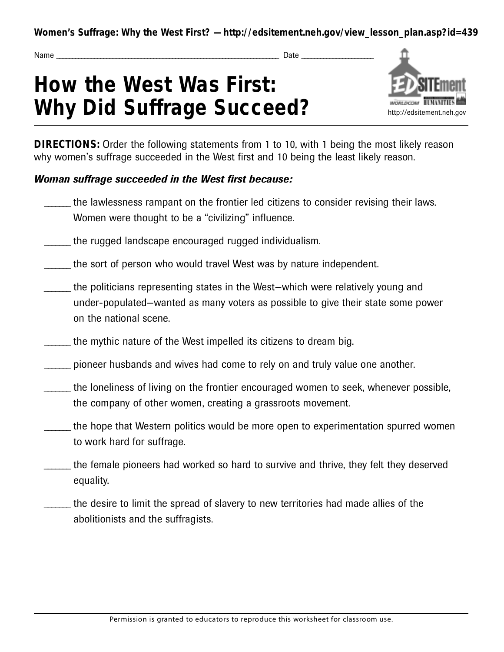**Women's Suffrage: Why the West First? — http://edsitement.neh.gov/view\_lesson\_plan.asp?id=439**

Name \_ \_ \_ \_ \_ \_ \_ \_ \_ \_ \_ \_ \_ \_ \_ \_ \_ \_ \_ \_ \_ \_ \_ \_ \_ \_ \_ \_ \_ \_ \_ \_ \_ \_ \_ \_ \_ \_ \_ \_ \_ \_ \_ \_ \_ \_ \_ \_ \_ \_ \_ \_ \_ \_ \_ \_ \_ \_ \_ \_ \_ \_ \_ \_ \_ \_ \_ \_ \_ \_ \_ Date \_ \_ \_ \_ \_ \_ \_ \_ \_ \_ \_ \_ \_ \_ \_ \_ \_ \_ \_ \_ \_ \_ \_

## **How the West Was First: Why Did Suffrage Succeed?**



**DIRECTIONS:** Order the following statements from 1 to 10, with 1 being the most likely reason why women's suffrage succeeded in the West first and 10 being the least likely reason.

## *Woman suffrage succeeded in the West first because:*

- the lawlessness rampant on the frontier led citizens to consider revising their laws. Women were thought to be a "civilizing" influence.
- the rugged landscape encouraged rugged individualism.
- the sort of person who would travel West was by nature independent.
- \_\_\_\_\_ the politicians representing states in the West-which were relatively young and under-populated—wanted as many voters as possible to give their state some power on the national scene.
- the mythic nature of the West impelled its citizens to dream big.
- pioneer husbands and wives had come to rely on and truly value one another.
- the loneliness of living on the frontier encouraged women to seek, whenever possible, the company of other women, creating a grassroots movement.
- the hope that Western politics would be more open to experimentation spurred women to work hard for suffrage.
- the female pioneers had worked so hard to survive and thrive, they felt they deserved equality.
- the desire to limit the spread of slavery to new territories had made allies of the abolitionists and the suffragists.